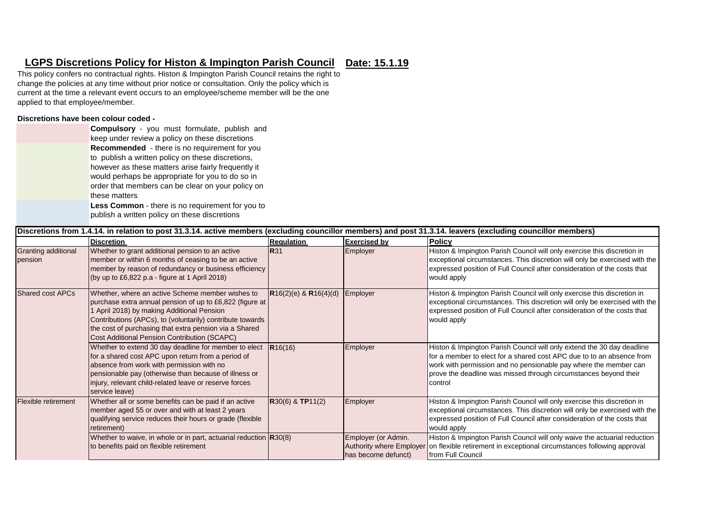## **Date: 15.1.19 LGPS Discretions Policy for Histon & Impington Parish Council**

This policy confers no contractual rights. Histon & Impington Parish Council retains the right to change the policies at any time without prior notice or consultation. Only the policy which is current at the time a relevant event occurs to an employee/scheme member will be the one applied to that employee/member.

## **Discretions have been colour coded -**

|               | <b>Compulsory</b> - you must formulate, publish and     |  |  |  |  |  |
|---------------|---------------------------------------------------------|--|--|--|--|--|
|               | keep under review a policy on these discretions         |  |  |  |  |  |
|               | Recommended - there is no requirement for you           |  |  |  |  |  |
|               | to publish a written policy on these discretions,       |  |  |  |  |  |
|               | however as these matters arise fairly frequently it     |  |  |  |  |  |
|               | would perhaps be appropriate for you to do so in        |  |  |  |  |  |
|               | order that members can be clear on your policy on       |  |  |  |  |  |
| these matters |                                                         |  |  |  |  |  |
|               | <b>Less Common</b> - there is no requirement for you to |  |  |  |  |  |
|               | publish a written policy on these discretions           |  |  |  |  |  |

|                                | Discretions from 1.4.14. in relation to post 31.3.14. active members (excluding councillor members) and post 31.3.14. leavers (excluding councillor members)                                                                                                                                                                      |                           |                                                                        |                                                                                                                                                                                                                                                                                                    |  |  |
|--------------------------------|-----------------------------------------------------------------------------------------------------------------------------------------------------------------------------------------------------------------------------------------------------------------------------------------------------------------------------------|---------------------------|------------------------------------------------------------------------|----------------------------------------------------------------------------------------------------------------------------------------------------------------------------------------------------------------------------------------------------------------------------------------------------|--|--|
|                                | <b>Discretion</b>                                                                                                                                                                                                                                                                                                                 | <b>Regulation</b>         | <b>Exercised by</b>                                                    | <b>Policy</b>                                                                                                                                                                                                                                                                                      |  |  |
| Granting additional<br>pension | Whether to grant additional pension to an active<br>member or within 6 months of ceasing to be an active<br>member by reason of redundancy or business efficiency<br>(by up to £6,822 p.a - figure at 1 April 2018)                                                                                                               | <b>R</b> 31               | Employer                                                               | Histon & Impington Parish Council will only exercise this discretion in<br>exceptional circumstances. This discretion will only be exercised with the<br>expressed position of Full Council after consideration of the costs that<br>would apply                                                   |  |  |
| <b>Shared cost APCs</b>        | Whether, where an active Scheme member wishes to<br>purchase extra annual pension of up to £6,822 (figure at<br>1 April 2018) by making Additional Pension<br>Contributions (APCs), to (voluntarily) contribute towards<br>the cost of purchasing that extra pension via a Shared<br>Cost Additional Pension Contribution (SCAPC) | $R16(2)(e)$ & $R16(4)(d)$ | Employer                                                               | Histon & Impington Parish Council will only exercise this discretion in<br>exceptional circumstances. This discretion will only be exercised with the<br>expressed position of Full Council after consideration of the costs that<br>would apply                                                   |  |  |
|                                | Whether to extend 30 day deadline for member to elect<br>for a shared cost APC upon return from a period of<br>absence from work with permission with no<br>pensionable pay (otherwise than because of illness or<br>injury, relevant child-related leave or reserve forces<br>service leave)                                     | R16(16)                   | Employer                                                               | Histon & Impington Parish Council will only extend the 30 day deadline<br>for a member to elect for a shared cost APC due to to an absence from<br>work with permission and no pensionable pay where the member can<br>prove the deadline was missed through circumstances beyond their<br>control |  |  |
| Flexible retirement            | Whether all or some benefits can be paid if an active<br>member aged 55 or over and with at least 2 years<br>qualifying service reduces their hours or grade (flexible<br>retirement)                                                                                                                                             | $R30(6)$ & TP11(2)        | Employer                                                               | Histon & Impington Parish Council will only exercise this discretion in<br>exceptional circumstances. This discretion will only be exercised with the<br>expressed position of Full Council after consideration of the costs that<br>would apply                                                   |  |  |
|                                | Whether to waive, in whole or in part, actuarial reduction $R30(8)$<br>to benefits paid on flexible retirement                                                                                                                                                                                                                    |                           | Employer (or Admin.<br>Authority where Employer<br>has become defunct) | Histon & Impington Parish Council will only waive the actuarial reduction<br>on flexible retirement in exceptional circumstances following approval<br>from Full Council                                                                                                                           |  |  |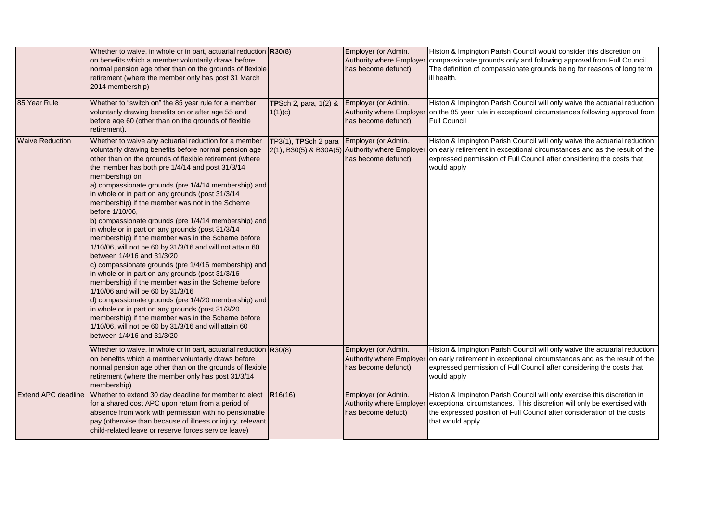|                            | Whether to waive, in whole or in part, actuarial reduction $R30(8)$<br>on benefits which a member voluntarily draws before<br>normal pension age other than on the grounds of flexible<br>retirement (where the member only has post 31 March<br>2014 membership)                                                                                                                                                                                                                                                                                                                                                                                                                                                                                                                                                                                                                                                                                                                                                                                                                                                                                              |                                             | Employer (or Admin.<br>has become defunct) | Histon & Impington Parish Council would consider this discretion on<br>Authority where Employer compassionate grounds only and following approval from Full Council.<br>The definition of compassionate grounds being for reasons of long term<br>ill health.                                     |
|----------------------------|----------------------------------------------------------------------------------------------------------------------------------------------------------------------------------------------------------------------------------------------------------------------------------------------------------------------------------------------------------------------------------------------------------------------------------------------------------------------------------------------------------------------------------------------------------------------------------------------------------------------------------------------------------------------------------------------------------------------------------------------------------------------------------------------------------------------------------------------------------------------------------------------------------------------------------------------------------------------------------------------------------------------------------------------------------------------------------------------------------------------------------------------------------------|---------------------------------------------|--------------------------------------------|---------------------------------------------------------------------------------------------------------------------------------------------------------------------------------------------------------------------------------------------------------------------------------------------------|
| 85 Year Rule               | Whether to "switch on" the 85 year rule for a member<br>voluntarily drawing benefits on or after age 55 and<br>before age 60 (other than on the grounds of flexible<br>retirement).                                                                                                                                                                                                                                                                                                                                                                                                                                                                                                                                                                                                                                                                                                                                                                                                                                                                                                                                                                            | <b>TPSch 2, para, 1(2) &amp;</b><br>1(1)(c) | Employer (or Admin.<br>has become defunct) | Histon & Impington Parish Council will only waive the actuarial reduction<br>Authority where Employer on the 85 year rule in exceptioani circumstances following approval from<br><b>Full Council</b>                                                                                             |
| <b>Waive Reduction</b>     | Whether to waive any actuarial reduction for a member<br>voluntarily drawing benefits before normal pension age<br>other than on the grounds of flexible retirement (where<br>the member has both pre 1/4/14 and post 31/3/14<br>membership) on<br>a) compassionate grounds (pre 1/4/14 membership) and<br>in whole or in part on any grounds (post 31/3/14<br>membership) if the member was not in the Scheme<br>before 1/10/06,<br>b) compassionate grounds (pre 1/4/14 membership) and<br>in whole or in part on any grounds (post 31/3/14<br>membership) if the member was in the Scheme before<br>1/10/06, will not be 60 by 31/3/16 and will not attain 60<br>between 1/4/16 and 31/3/20<br>c) compassionate grounds (pre 1/4/16 membership) and<br>in whole or in part on any grounds (post 31/3/16<br>membership) if the member was in the Scheme before<br>1/10/06 and will be 60 by 31/3/16<br>d) compassionate grounds (pre 1/4/20 membership) and<br>in whole or in part on any grounds (post 31/3/20<br>membership) if the member was in the Scheme before<br>1/10/06, will not be 60 by 31/3/16 and will attain 60<br>between 1/4/16 and 31/3/20 | TP3(1), TPSch 2 para                        | Employer (or Admin.<br>has become defunct) | Histon & Impington Parish Council will only waive the actuarial reduction<br>$2(1)$ , B30(5) & B30A(5) Authority where Employer on early retirement in exceptional circumstances and as the result of the<br>expressed permission of Full Council after considering the costs that<br>would apply |
|                            | Whether to waive, in whole or in part, actuarial reduction $R30(8)$<br>on benefits which a member voluntarily draws before<br>normal pension age other than on the grounds of flexible<br>retirement (where the member only has post 31/3/14<br>membership)                                                                                                                                                                                                                                                                                                                                                                                                                                                                                                                                                                                                                                                                                                                                                                                                                                                                                                    |                                             | Employer (or Admin.<br>has become defunct) | Histon & Impington Parish Council will only waive the actuarial reduction<br>Authority where Employer on early retirement in exceptional circumstances and as the result of the<br>expressed permission of Full Council after considering the costs that<br>would apply                           |
| <b>Extend APC deadline</b> | Whether to extend 30 day deadline for member to elect $\overline{R16(16)}$<br>for a shared cost APC upon return from a period of<br>absence from work with permission with no pensionable<br>pay (otherwise than because of illness or injury, relevant<br>child-related leave or reserve forces service leave)                                                                                                                                                                                                                                                                                                                                                                                                                                                                                                                                                                                                                                                                                                                                                                                                                                                |                                             | Employer (or Admin.<br>has become defuct)  | Histon & Impington Parish Council will only exercise this discretion in<br>Authority where Employer exceptional circumstances. This discretion will only be exercised with<br>the expressed position of Full Council after consideration of the costs<br>that would apply                         |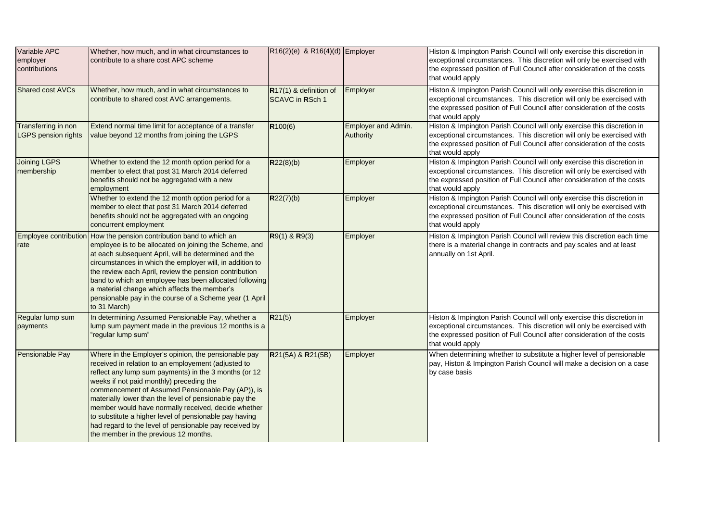| Variable APC<br>employer<br>contributions         | Whether, how much, and in what circumstances to<br>contribute to a share cost APC scheme                                                                                                                                                                                                                                                                                                                                                                                                                                                            | $R16(2)(e)$ & R16(4)(d) Employer                 |                                  | Histon & Impington Parish Council will only exercise this discretion in<br>exceptional circumstances. This discretion will only be exercised with<br>the expressed position of Full Council after consideration of the costs<br>that would apply |
|---------------------------------------------------|-----------------------------------------------------------------------------------------------------------------------------------------------------------------------------------------------------------------------------------------------------------------------------------------------------------------------------------------------------------------------------------------------------------------------------------------------------------------------------------------------------------------------------------------------------|--------------------------------------------------|----------------------------------|--------------------------------------------------------------------------------------------------------------------------------------------------------------------------------------------------------------------------------------------------|
| Shared cost AVCs                                  | Whether, how much, and in what circumstances to<br>contribute to shared cost AVC arrangements.                                                                                                                                                                                                                                                                                                                                                                                                                                                      | R17(1) & definition of<br><b>SCAVC in RSch 1</b> | Employer                         | Histon & Impington Parish Council will only exercise this discretion in<br>exceptional circumstances. This discretion will only be exercised with<br>the expressed position of Full Council after consideration of the costs<br>that would apply |
| Transferring in non<br><b>LGPS pension rights</b> | Extend normal time limit for acceptance of a transfer<br>value beyond 12 months from joining the LGPS                                                                                                                                                                                                                                                                                                                                                                                                                                               | R100(6)                                          | Employer and Admin.<br>Authority | Histon & Impington Parish Council will only exercise this discretion in<br>exceptional circumstances. This discretion will only be exercised with<br>the expressed position of Full Council after consideration of the costs<br>that would apply |
| <b>Joining LGPS</b><br>membership                 | Whether to extend the 12 month option period for a<br>member to elect that post 31 March 2014 deferred<br>benefits should not be aggregated with a new<br>employment                                                                                                                                                                                                                                                                                                                                                                                | R22(8)(b)                                        | Employer                         | Histon & Impington Parish Council will only exercise this discretion in<br>exceptional circumstances. This discretion will only be exercised with<br>the expressed position of Full Council after consideration of the costs<br>that would apply |
|                                                   | Whether to extend the 12 month option period for a<br>member to elect that post 31 March 2014 deferred<br>benefits should not be aggregated with an ongoing<br>concurrent employment                                                                                                                                                                                                                                                                                                                                                                | R22(7)(b)                                        | Employer                         | Histon & Impington Parish Council will only exercise this discretion in<br>exceptional circumstances. This discretion will only be exercised with<br>the expressed position of Full Council after consideration of the costs<br>that would apply |
| rate                                              | Employee contribution How the pension contribution band to which an<br>employee is to be allocated on joining the Scheme, and<br>at each subsequent April, will be determined and the<br>circumstances in which the employer will, in addition to<br>the review each April, review the pension contribution<br>band to which an employee has been allocated following<br>a material change which affects the member's<br>pensionable pay in the course of a Scheme year (1 April<br>to 31 March)                                                    | $R9(1)$ & $R9(3)$                                | Employer                         | Histon & Impington Parish Council will review this discretion each time<br>there is a material change in contracts and pay scales and at least<br>annually on 1st April.                                                                         |
| Regular lump sum<br>payments                      | In determining Assumed Pensionable Pay, whether a<br>lump sum payment made in the previous 12 months is a<br>"regular lump sum"                                                                                                                                                                                                                                                                                                                                                                                                                     | R21(5)                                           | Employer                         | Histon & Impington Parish Council will only exercise this discretion in<br>exceptional circumstances. This discretion will only be exercised with<br>the expressed position of Full Council after consideration of the costs<br>that would apply |
| Pensionable Pay                                   | Where in the Employer's opinion, the pensionable pay<br>received in relation to an employement (adjusted to<br>reflect any lump sum payments) in the 3 months (or 12<br>weeks if not paid monthly) preceding the<br>commencement of Assumed Pensionable Pay (AP)), is<br>materially lower than the level of pensionable pay the<br>member would have normally received, decide whether<br>to substitute a higher level of pensionable pay having<br>had regard to the level of pensionable pay received by<br>the member in the previous 12 months. | R21(5A) & R21(5B)                                | Employer                         | When determining whether to substitute a higher level of pensionable<br>pay, Histon & Impington Parish Council will make a decision on a case<br>by case basis                                                                                   |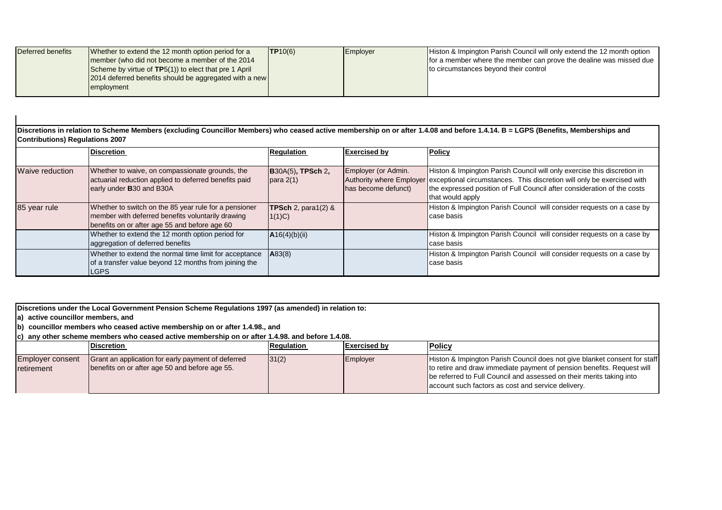| Deferred benefits | Whether to extend the 12 month option period for a     | TP10(6) | Employer | Histon & Impington Parish Council will only extend the 12 month option |
|-------------------|--------------------------------------------------------|---------|----------|------------------------------------------------------------------------|
|                   | member (who did not become a member of the 2014        |         |          | for a member where the member can prove the dealine was missed due     |
|                   | Scheme by virtue of TP5(1)) to elect that pre 1 April  |         |          | Ito circumstances beyond their control                                 |
|                   | 2014 deferred benefits should be aggregated with a new |         |          |                                                                        |
|                   | employment                                             |         |          |                                                                        |
|                   |                                                        |         |          |                                                                        |

**Discretions in relation to Scheme Members (excluding Councillor Members) who ceased active membership on or after 1.4.08 and before 1.4.14. B = LGPS (Benefits, Memberships and Contributions) Regulations 2007**

|                 | <b>Discretion</b>                                                                                                                                           | <b>Regulation</b>                        | <b>Exercised by</b>                        | <b>Policy</b>                                                                                                                                                                                                                                                             |
|-----------------|-------------------------------------------------------------------------------------------------------------------------------------------------------------|------------------------------------------|--------------------------------------------|---------------------------------------------------------------------------------------------------------------------------------------------------------------------------------------------------------------------------------------------------------------------------|
|                 |                                                                                                                                                             |                                          |                                            |                                                                                                                                                                                                                                                                           |
| Waive reduction | Whether to waive, on compassionate grounds, the<br>actuarial reduction applied to deferred benefits paid<br>early under <b>B</b> 30 and B30A                | $\vert$ B30A(5), TPSch 2,<br>para 2(1)   | Employer (or Admin.<br>has become defunct) | Histon & Impington Parish Council will only exercise this discretion in<br>Authority where Employer exceptional circumstances. This discretion will only be exercised with<br>the expressed position of Full Council after consideration of the costs<br>that would apply |
| 85 year rule    | Whether to switch on the 85 year rule for a pensioner<br>member with deferred benefits voluntarily drawing<br>benefits on or after age 55 and before age 60 | <b>TPSch</b> 2, para1 $(2)$ &<br>(1(1)C) |                                            | Histon & Impington Parish Council will consider requests on a case by<br>case basis                                                                                                                                                                                       |
|                 | Whether to extend the 12 month option period for<br>aggregation of deferred benefits                                                                        | A16(4)(b)(ii)                            |                                            | Histon & Impington Parish Council will consider requests on a case by<br>case basis                                                                                                                                                                                       |
|                 | Whether to extend the normal time limit for acceptance<br>of a transfer value beyond 12 months from joining the<br>LGPS                                     | A83(8)                                   |                                            | Histon & Impington Parish Council will consider requests on a case by<br>case basis                                                                                                                                                                                       |

**Discretions under the Local Government Pension Scheme Regulations 1997 (as amended) in relation to:**

**a) active councillor members, and** 

**b**) councillor members who ceased active membership on or after 1.4.98., and

**c) any other scheme members who ceased active membership on or after 1.4.98. and before 1.4.08.** 

|                                                | <b>Discretion</b>                                                                                    | <b>Regulation</b> | <b>Exercised by</b> | <b>Policy</b>                                                                                                                                                                                                                                                                     |
|------------------------------------------------|------------------------------------------------------------------------------------------------------|-------------------|---------------------|-----------------------------------------------------------------------------------------------------------------------------------------------------------------------------------------------------------------------------------------------------------------------------------|
| <b>Employer consent</b><br><b>I</b> retirement | Grant an application for early payment of deferred<br>benefits on or after age 50 and before age 55. | 31(2)             | Employer            | Histon & Impington Parish Council does not give blanket consent for staff<br>to retire and draw immediate payment of pension benefits. Request will<br>be referred to Full Council and assessed on their merits taking into<br>account such factors as cost and service delivery. |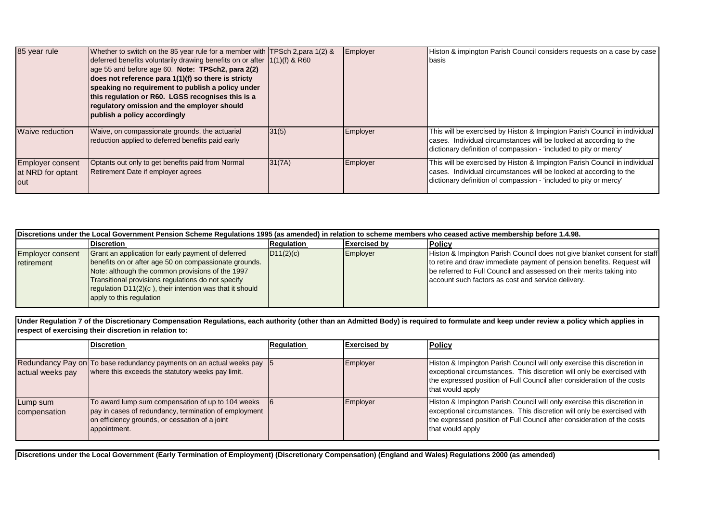| 85 year rule                                         | Whether to switch on the 85 year rule for a member with TPSch 2, para 1(2) &<br>deferred benefits voluntarily drawing benefits on or after 11(1)(f) & R60<br>age 55 and before age 60. Note: TPSch2, para 2(2)<br>does not reference para 1(1)(f) so there is stricty<br>speaking no requirement to publish a policy under<br>this regulation or R60. LGSS recognises this is a<br>regulatory omission and the employer should<br>publish a policy accordingly |        | Employer | Histon & impington Parish Council considers requests on a case by case<br><b>Ibasis</b>                                                                                                                              |
|------------------------------------------------------|----------------------------------------------------------------------------------------------------------------------------------------------------------------------------------------------------------------------------------------------------------------------------------------------------------------------------------------------------------------------------------------------------------------------------------------------------------------|--------|----------|----------------------------------------------------------------------------------------------------------------------------------------------------------------------------------------------------------------------|
| Waive reduction                                      | Waive, on compassionate grounds, the actuarial<br>reduction applied to deferred benefits paid early                                                                                                                                                                                                                                                                                                                                                            | 31(5)  | Employer | This will be exercised by Histon & Impington Parish Council in individual<br>cases. Individual circumstances will be looked at according to the<br>dictionary definition of compassion - 'included to pity or mercy' |
| <b>Employer consent</b><br>at NRD for optant<br>lout | Optants out only to get benefits paid from Normal<br>Retirement Date if employer agrees                                                                                                                                                                                                                                                                                                                                                                        | 31(7A) | Employer | This will be exercised by Histon & Impington Parish Council in individual<br>cases. Individual circumstances will be looked at according to the<br>dictionary definition of compassion - 'included to pity or mercy' |

| Discretions under the Local Government Pension Scheme Regulations 1995 (as amended) in relation to scheme members who ceased active membership before 1.4.98. |                                                                                                                                                                                                                                                                                                               |                   |                     |                                                                                                                                                                                                                                                                                   |  |  |
|---------------------------------------------------------------------------------------------------------------------------------------------------------------|---------------------------------------------------------------------------------------------------------------------------------------------------------------------------------------------------------------------------------------------------------------------------------------------------------------|-------------------|---------------------|-----------------------------------------------------------------------------------------------------------------------------------------------------------------------------------------------------------------------------------------------------------------------------------|--|--|
|                                                                                                                                                               | <b>Discretion</b>                                                                                                                                                                                                                                                                                             | <b>Regulation</b> | <b>Exercised by</b> | <b>Policy</b>                                                                                                                                                                                                                                                                     |  |  |
| Employer consent<br>retirement                                                                                                                                | Grant an application for early payment of deferred<br>benefits on or after age 50 on compassionate grounds.<br>Note: although the common provisions of the 1997<br>Transitional provisions regulations do not specify<br>regulation D11(2)(c), their intention was that it should<br>apply to this regulation | D11(2)(c)         | Employer            | Histon & Impington Parish Council does not give blanket consent for staff<br>to retire and draw immediate payment of pension benefits. Request will<br>be referred to Full Council and assessed on their merits taking into<br>account such factors as cost and service delivery. |  |  |

**Under Regulation 7 of the Discretionary Compensation Regulations, each authority (other than an Admitted Body) is required to formulate and keep under review a policy which applies in respect of exercising their discretion in relation to:**

|                          | <b>Discretion</b>                                                                                                                                                            | <b>Requlation</b> | <b>Exercised by</b> | <b>Policy</b>                                                                                                                                                                                                                                    |
|--------------------------|------------------------------------------------------------------------------------------------------------------------------------------------------------------------------|-------------------|---------------------|--------------------------------------------------------------------------------------------------------------------------------------------------------------------------------------------------------------------------------------------------|
| actual weeks pay         | Redundancy Pay on To base redundancy payments on an actual weeks pay 5<br>where this exceeds the statutory weeks pay limit.                                                  |                   | Employer            | Histon & Impington Parish Council will only exercise this discretion in<br>exceptional circumstances. This discretion will only be exercised with<br>the expressed position of Full Council after consideration of the costs<br>that would apply |
| Lump sum<br>compensation | To award lump sum compensation of up to 104 weeks<br>pay in cases of redundancy, termination of employment<br>on efficiency grounds, or cessation of a joint<br>appointment. |                   | Employer            | Histon & Impington Parish Council will only exercise this discretion in<br>exceptional circumstances. This discretion will only be exercised with<br>the expressed position of Full Council after consideration of the costs<br>that would apply |

**Discretions under the Local Government (Early Termination of Employment) (Discretionary Compensation) (England and Wales) Regulations 2000 (as amended)**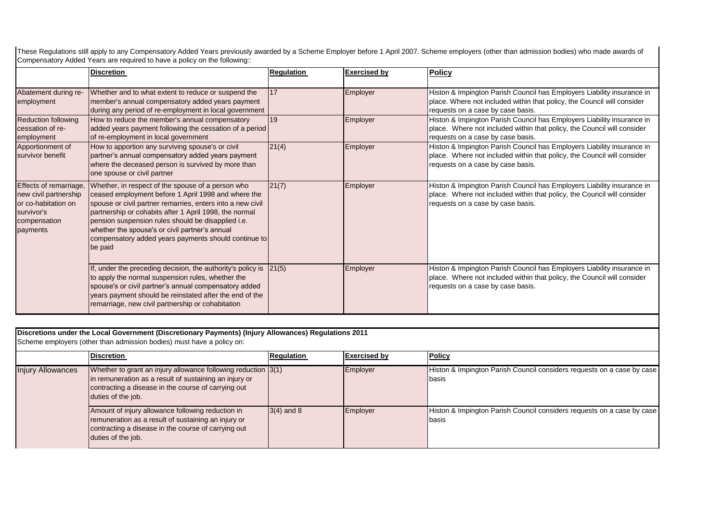These Regulations still apply to any Compensatory Added Years previously awarded by a Scheme Employer before 1 April 2007. Scheme employers (other than admission bodies) who made awards of Compensatory Added Years are required to have a policy on the following::

|                                                                                                                  | <b>Discretion</b>                                                                                                                                                                                                                                                                                                                                                                                           | <b>Regulation</b> | <b>Exercised by</b> | <b>Policy</b>                                                                                                                                                                          |
|------------------------------------------------------------------------------------------------------------------|-------------------------------------------------------------------------------------------------------------------------------------------------------------------------------------------------------------------------------------------------------------------------------------------------------------------------------------------------------------------------------------------------------------|-------------------|---------------------|----------------------------------------------------------------------------------------------------------------------------------------------------------------------------------------|
| Abatement during re-<br>employment                                                                               | Whether and to what extent to reduce or suspend the<br>member's annual compensatory added years payment<br>during any period of re-employment in local government                                                                                                                                                                                                                                           | 17                | Employer            | Histon & Impington Parish Council has Employers Liability insurance in<br>place. Where not included within that policy, the Council will consider<br>requests on a case by case basis. |
| <b>Reduction following</b><br>cessation of re-<br>employment                                                     | How to reduce the member's annual compensatory<br>added years payment following the cessation of a period<br>of re-employment in local government                                                                                                                                                                                                                                                           | 19                | Employer            | Histon & Impington Parish Council has Employers Liability insurance in<br>place. Where not included within that policy, the Council will consider<br>requests on a case by case basis. |
| Apportionment of<br>survivor benefit                                                                             | How to apportion any surviving spouse's or civil<br>partner's annual compensatory added years payment<br>where the deceased person is survived by more than<br>one spouse or civil partner                                                                                                                                                                                                                  | 21(4)             | Employer            | Histon & Impington Parish Council has Employers Liability insurance in<br>place. Where not included within that policy, the Council will consider<br>requests on a case by case basis. |
| Effects of remarriage,<br>new civil partnership<br>or co-habitation on<br>survivor's<br>compensation<br>payments | Whether, in respect of the spouse of a person who<br>ceased employment before 1 April 1998 and where the<br>spouse or civil partner remarries, enters into a new civil<br>partnership or cohabits after 1 April 1998, the normal<br>pension suspension rules should be disapplied i.e.<br>whether the spouse's or civil partner's annual<br>compensatory added years payments should continue to<br>be paid | 21(7)             | Employer            | Histon & Impington Parish Council has Employers Liability insurance in<br>place. Where not included within that policy, the Council will consider<br>requests on a case by case basis. |
|                                                                                                                  | If, under the preceding decision, the authority's policy is<br>to apply the normal suspension rules, whether the<br>spouse's or civil partner's annual compensatory added<br>years payment should be reinstated after the end of the<br>remarriage, new civil partnership or cohabitation                                                                                                                   | 21(5)             | Employer            | Histon & Impington Parish Council has Employers Liability insurance in<br>place. Where not included within that policy, the Council will consider<br>requests on a case by case basis. |

**Discretions under the Local Government (Discretionary Payments) (Injury Allowances) Regulations 2011**

Scheme employers (other than admission bodies) must have a policy on:

|                          | <b>Discretion</b>                                                                                                                                                                                        | Regulation   | <b>Exercised by</b> | Policy                                                                           |
|--------------------------|----------------------------------------------------------------------------------------------------------------------------------------------------------------------------------------------------------|--------------|---------------------|----------------------------------------------------------------------------------|
| <b>Injury Allowances</b> | Whether to grant an injury allowance following reduction $ 3(1) $<br>In remuneration as a result of sustaining an injury or<br>contracting a disease in the course of carrying out<br>duties of the job. |              | Employer            | Histon & Impington Parish Council considers requests on a case by case<br>Ibasis |
|                          | Amount of injury allowance following reduction in<br>remuneration as a result of sustaining an injury or<br>contracting a disease in the course of carrying out<br>duties of the job.                    | $3(4)$ and 8 | Employer            | Histon & Impington Parish Council considers requests on a case by case<br>Ibasis |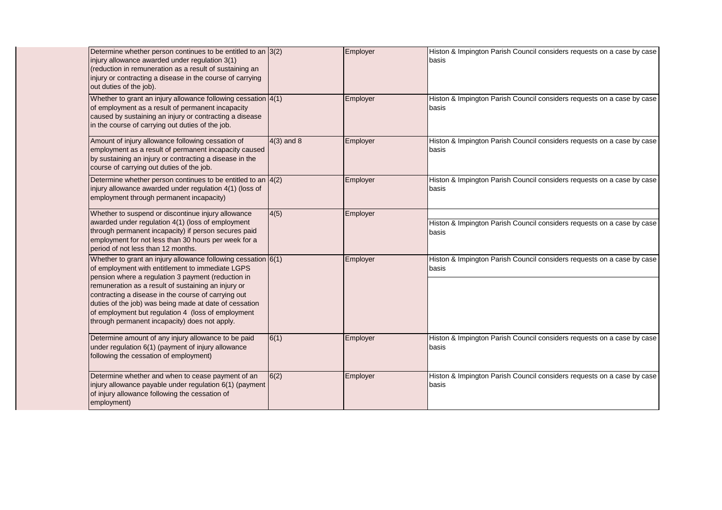| Determine whether person continues to be entitled to an $3(2)$<br>injury allowance awarded under regulation 3(1)<br>(reduction in remuneration as a result of sustaining an<br>injury or contracting a disease in the course of carrying<br>out duties of the job).                                                                                                                                                                                      |              | Employer | Histon & Impington Parish Council considers requests on a case by case<br>basis |
|----------------------------------------------------------------------------------------------------------------------------------------------------------------------------------------------------------------------------------------------------------------------------------------------------------------------------------------------------------------------------------------------------------------------------------------------------------|--------------|----------|---------------------------------------------------------------------------------|
| Whether to grant an injury allowance following cessation 4(1)<br>of employment as a result of permanent incapacity<br>caused by sustaining an injury or contracting a disease<br>in the course of carrying out duties of the job.                                                                                                                                                                                                                        |              | Employer | Histon & Impington Parish Council considers requests on a case by case<br>basis |
| Amount of injury allowance following cessation of<br>employment as a result of permanent incapacity caused<br>by sustaining an injury or contracting a disease in the<br>course of carrying out duties of the job.                                                                                                                                                                                                                                       | $4(3)$ and 8 | Employer | Histon & Impington Parish Council considers requests on a case by case<br>basis |
| Determine whether person continues to be entitled to an $\vert 4(2)\vert$<br>injury allowance awarded under regulation 4(1) (loss of<br>employment through permanent incapacity)                                                                                                                                                                                                                                                                         |              | Employer | Histon & Impington Parish Council considers requests on a case by case<br>basis |
| Whether to suspend or discontinue injury allowance<br>awarded under regulation 4(1) (loss of employment<br>through permanent incapacity) if person secures paid<br>employment for not less than 30 hours per week for a<br>period of not less than 12 months.                                                                                                                                                                                            | 4(5)         | Employer | Histon & Impington Parish Council considers requests on a case by case<br>basis |
| Whether to grant an injury allowance following cessation $6(1)$<br>of employment with entitlement to immediate LGPS<br>pension where a regulation 3 payment (reduction in<br>remuneration as a result of sustaining an injury or<br>contracting a disease in the course of carrying out<br>duties of the job) was being made at date of cessation<br>of employment but regulation 4 (loss of employment<br>through permanent incapacity) does not apply. |              | Employer | Histon & Impington Parish Council considers requests on a case by case<br>basis |
| Determine amount of any injury allowance to be paid<br>under regulation 6(1) (payment of injury allowance<br>following the cessation of employment)                                                                                                                                                                                                                                                                                                      | 6(1)         | Employer | Histon & Impington Parish Council considers requests on a case by case<br>basis |
| Determine whether and when to cease payment of an<br>injury allowance payable under regulation 6(1) (payment<br>of injury allowance following the cessation of<br>employment)                                                                                                                                                                                                                                                                            | 6(2)         | Employer | Histon & Impington Parish Council considers requests on a case by case<br>basis |